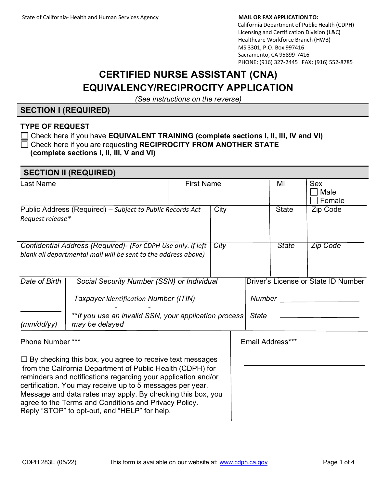# California Department of Public Health (CDPH) Licensing and Certification Division (L&C) Healthcare Workforce Branch (HWB) MS 3301, P.O. Box 997416

 Sacramento, CA 95899-7416 PHONE: (916) 327-2445 FAX: (916) 552-8785

# **CERTIFIED NURSE ASSISTANT (CNA) EQUIVALENCY/RECIPROCITY APPLICATION**

*(See instructions on the reverse)*

# **SECTION I (REQUIRED)**

### **TYPE OF REQUEST**

| $\Box$ Check here if you have <b>EQUIVALENT TRAINING (complete sections I, II, III, IV and VI)</b> |
|----------------------------------------------------------------------------------------------------|
| $\Box$ Check here if you are requesting RECIPROCITY FROM ANOTHER STATE                             |
| (complete sections I, II, III, V and VI)                                                           |

| <b>SECTION II (REQUIRED)</b> |                                                                                                                                                                                                                                                                                                                                                                                                                                      |                   |      |                                                                      |              |                              |  |
|------------------------------|--------------------------------------------------------------------------------------------------------------------------------------------------------------------------------------------------------------------------------------------------------------------------------------------------------------------------------------------------------------------------------------------------------------------------------------|-------------------|------|----------------------------------------------------------------------|--------------|------------------------------|--|
| <b>Last Name</b>             |                                                                                                                                                                                                                                                                                                                                                                                                                                      | <b>First Name</b> |      |                                                                      | MI           | <b>Sex</b><br>Male<br>Female |  |
| Request release*             | Public Address (Required) - Subject to Public Records Act                                                                                                                                                                                                                                                                                                                                                                            |                   | City |                                                                      | <b>State</b> | Zip Code                     |  |
|                              | Confidential Address (Required) - (For CDPH Use only. If left<br>blank all departmental mail will be sent to the address above)                                                                                                                                                                                                                                                                                                      |                   | City |                                                                      | <b>State</b> | <b>Zip Code</b>              |  |
| Date of Birth<br>(mm/dd/yy)  | Social Security Number (SSN) or Individual<br>Taxpayer Identification Number (ITIN)<br>**If you use an invalid SSN, your application process<br>may be delayed                                                                                                                                                                                                                                                                       |                   |      | Driver's License or State ID Number<br><b>Number</b><br><b>State</b> |              |                              |  |
| Phone Number ***             |                                                                                                                                                                                                                                                                                                                                                                                                                                      |                   |      | Email Address***                                                     |              |                              |  |
|                              | $\Box$ By checking this box, you agree to receive text messages<br>from the California Department of Public Health (CDPH) for<br>reminders and notifications regarding your application and/or<br>certification. You may receive up to 5 messages per year.<br>Message and data rates may apply. By checking this box, you<br>agree to the Terms and Conditions and Privacy Policy.<br>Reply "STOP" to opt-out, and "HELP" for help. |                   |      |                                                                      |              |                              |  |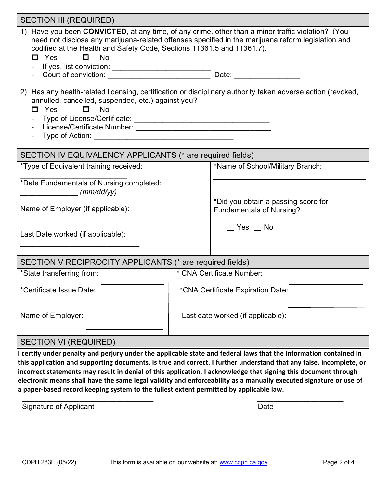| <b>SECTION III (REQUIRED)</b>                                                                                                                                                                                                                                                                                                    |                                   |                                                                                                    |  |  |  |  |  |
|----------------------------------------------------------------------------------------------------------------------------------------------------------------------------------------------------------------------------------------------------------------------------------------------------------------------------------|-----------------------------------|----------------------------------------------------------------------------------------------------|--|--|--|--|--|
| 1) Have you been CONVICTED, at any time, of any crime, other than a minor traffic violation? (You<br>codified at the Health and Safety Code, Sections 11361.5 and 11361.7).<br>$\square$ Yes<br><b>No</b><br>Π.<br>If yes, list conviction: _____________________________<br>Court of conviction: ______________________________ |                                   | need not disclose any marijuana-related offenses specified in the marijuana reform legislation and |  |  |  |  |  |
| 2) Has any health-related licensing, certification or disciplinary authority taken adverse action (revoked,<br>annulled, cancelled, suspended, etc.) against you?<br>$\Box$ Yes<br>$\Box$<br>No                                                                                                                                  |                                   |                                                                                                    |  |  |  |  |  |
| SECTION IV EQUIVALENCY APPLICANTS (* are required fields)                                                                                                                                                                                                                                                                        |                                   |                                                                                                    |  |  |  |  |  |
| *Type of Equivalent training received:                                                                                                                                                                                                                                                                                           |                                   | *Name of School/Military Branch:                                                                   |  |  |  |  |  |
| *Date Fundamentals of Nursing completed:<br>(mm/dd/yy)                                                                                                                                                                                                                                                                           |                                   |                                                                                                    |  |  |  |  |  |
| Name of Employer (if applicable):                                                                                                                                                                                                                                                                                                |                                   | *Did you obtain a passing score for<br><b>Fundamentals of Nursing?</b>                             |  |  |  |  |  |
| Last Date worked (if applicable):                                                                                                                                                                                                                                                                                                |                                   | $\Box$ Yes $\Box$ No                                                                               |  |  |  |  |  |
| SECTION V RECIPROCITY APPLICANTS (* are required fields)                                                                                                                                                                                                                                                                         |                                   |                                                                                                    |  |  |  |  |  |
| *State transferring from:                                                                                                                                                                                                                                                                                                        | * CNA Certificate Number:         |                                                                                                    |  |  |  |  |  |
| *Certificate Issue Date:                                                                                                                                                                                                                                                                                                         | *CNA Certificate Expiration Date: |                                                                                                    |  |  |  |  |  |
| Name of Employer:                                                                                                                                                                                                                                                                                                                | Last date worked (if applicable): |                                                                                                    |  |  |  |  |  |
| <b>SECTION VI (REQUIRED)</b>                                                                                                                                                                                                                                                                                                     |                                   |                                                                                                    |  |  |  |  |  |

#### **I certify under penalty and perjury under the applicable state and federal laws that the information contained in this application and supporting documents, is true and correct. I further understand that any false, incomplete, or incorrect statements may result in denial of this application. I acknowledge that signing this document through electronic means shall have the same legal validity and enforceability as a manually executed signature or use of**

**a paper-based record keeping system to the fullest extent permitted by applicable law.** 

 $\overline{\phantom{a}}$  , and the contract of the contract of the contract of the contract of the contract of the contract of the contract of the contract of the contract of the contract of the contract of the contract of the contrac Signature of Applicant Date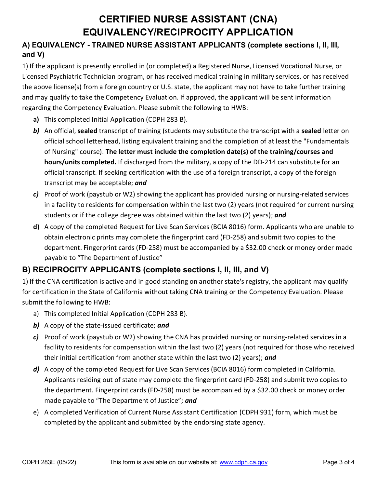# **CERTIFIED NURSE ASSISTANT (CNA) EQUIVALENCY/RECIPROCITY APPLICATION**

## **A) EQUIVALENCY - TRAINED NURSE ASSISTANT APPLICANTS (complete sections I, II, III, and V)**

1) If the applicant is presently enrolled in (or completed) a Registered Nurse, Licensed Vocational Nurse, or Licensed Psychiatric Technician program, or has received medical training in military services, or has received the above license(s) from a foreign country or U.S. state, the applicant may not have to take further training and may qualify to take the Competency Evaluation. If approved, the applicant will be sent information regarding the Competency Evaluation. Please submit the following to HWB:

- **a)** This completed Initial Application (CDPH 283 B).
- *b)* An official, **sealed** transcript of training (students may substitute the transcript with a **sealed** letter on official school letterhead, listing equivalent training and the completion of at least the "Fundamentals of Nursing" course). **The letter must include the completion date(s) of the training/courses and hours/units completed.** If discharged from the military, a copy of the DD-214 can substitute for an official transcript. If seeking certification with the use of a foreign transcript, a copy of the foreign transcript may be acceptable; *and*
- *c)* Proof of work (paystub or W2) showing the applicant has provided nursing or nursing-related services in a facility to residents for compensation within the last two (2) years (not required for current nursing students or if the college degree was obtained within the last two (2) years); *and*
- **d)** A copy of the completed Request for Live Scan Services (BCIA 8016) form. Applicants who are unable to obtain electronic prints may complete the fingerprint card (FD-258) and submit two copies to the department. Fingerprint cards (FD-258) must be accompanied by a \$32.00 check or money order made payable to "The Department of Justice"

# **B) RECIPROCITY APPLICANTS (complete sections I, II, III, and V)**

1) If the CNA certification is active and in good standing on another state's registry, the applicant may qualify for certification in the State of California without taking CNA training or the Competency Evaluation. Please submit the following to HWB:

- a) This completed Initial Application (CDPH 283 B).
- *b)* A copy of the state-issued certificate; *and*
- *c)* Proof of work (paystub or W2) showing the CNA has provided nursing or nursing-related services in a facility to residents for compensation within the last two (2) years (not required for those who received their initial certification from another state within the last two (2) years); *and*
- *d)* A copy of the completed Request for Live Scan Services (BCIA 8016) form completed in California. Applicants residing out of state may complete the fingerprint card (FD-258) and submit two copies to the department. Fingerprint cards (FD-258) must be accompanied by a \$32.00 check or money order made payable to "The Department of Justice"; *and*
- e) A completed Verification of Current Nurse Assistant Certification (CDPH 931) form, which must be completed by the applicant and submitted by the endorsing state agency.